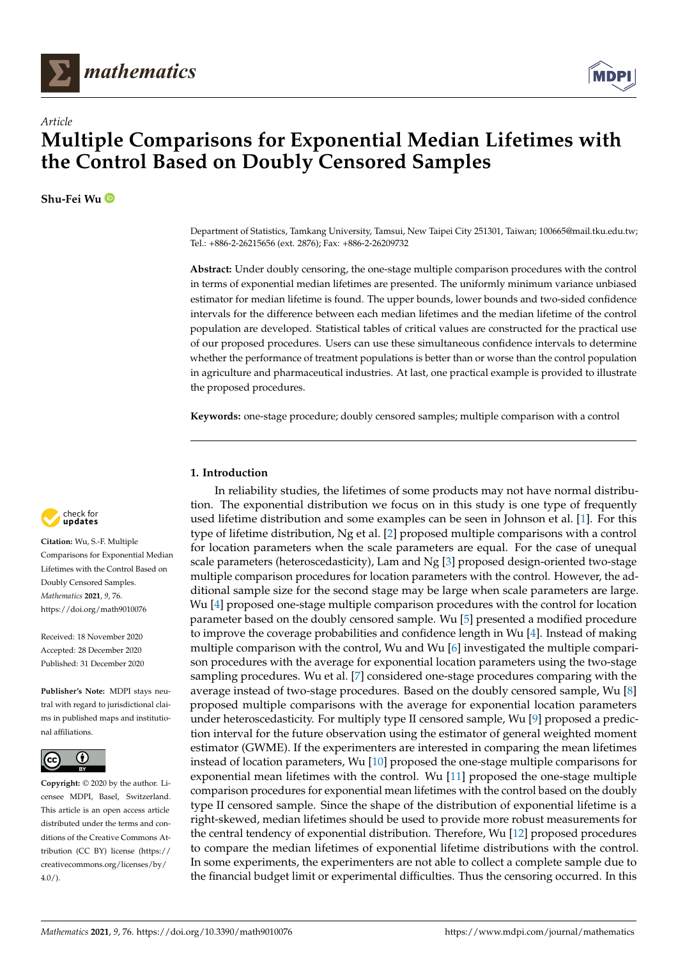



**Shu-Fei Wu**



**Abstract:** Under doubly censoring, the one-stage multiple comparison procedures with the control in terms of exponential median lifetimes are presented. The uniformly minimum variance unbiased estimator for median lifetime is found. The upper bounds, lower bounds and two-sided confidence intervals for the difference between each median lifetimes and the median lifetime of the control population are developed. Statistical tables of critical values are constructed for the practical use of our proposed procedures. Users can use these simultaneous confidence intervals to determine whether the performance of treatment populations is better than or worse than the control population in agriculture and pharmaceutical industries. At last, one practical example is provided to illustrate the proposed procedures.

**Keywords:** one-stage procedure; doubly censored samples; multiple comparison with a control

## **1. Introduction**

In reliability studies, the lifetimes of some products may not have normal distribution. The exponential distribution we focus on in this study is one type of frequently used lifetime distribution and some examples can be seen in Johnson et al. [\[1\]](#page-7-0). For this type of lifetime distribution, Ng et al. [\[2\]](#page-7-1) proposed multiple comparisons with a control for location parameters when the scale parameters are equal. For the case of unequal scale parameters (heteroscedasticity), Lam and Ng [\[3\]](#page-7-2) proposed design-oriented two-stage multiple comparison procedures for location parameters with the control. However, the additional sample size for the second stage may be large when scale parameters are large. Wu [\[4\]](#page-7-3) proposed one-stage multiple comparison procedures with the control for location parameter based on the doubly censored sample. Wu [\[5\]](#page-7-4) presented a modified procedure to improve the coverage probabilities and confidence length in Wu [\[4\]](#page-7-3). Instead of making multiple comparison with the control, Wu and Wu [\[6\]](#page-7-5) investigated the multiple comparison procedures with the average for exponential location parameters using the two-stage sampling procedures. Wu et al. [\[7\]](#page-7-6) considered one-stage procedures comparing with the average instead of two-stage procedures. Based on the doubly censored sample, Wu [\[8\]](#page-7-7) proposed multiple comparisons with the average for exponential location parameters under heteroscedasticity. For multiply type II censored sample, Wu [\[9\]](#page-7-8) proposed a prediction interval for the future observation using the estimator of general weighted moment estimator (GWME). If the experimenters are interested in comparing the mean lifetimes instead of location parameters, Wu [\[10\]](#page-7-9) proposed the one-stage multiple comparisons for exponential mean lifetimes with the control. Wu [\[11\]](#page-7-10) proposed the one-stage multiple comparison procedures for exponential mean lifetimes with the control based on the doubly type II censored sample. Since the shape of the distribution of exponential lifetime is a right-skewed, median lifetimes should be used to provide more robust measurements for the central tendency of exponential distribution. Therefore, Wu [\[12\]](#page-7-11) proposed procedures to compare the median lifetimes of exponential lifetime distributions with the control. In some experiments, the experimenters are not able to collect a complete sample due to the financial budget limit or experimental difficulties. Thus the censoring occurred. In this



**Citation:** Wu, S.-F. Multiple Comparisons for Exponential Median Lifetimes with the Control Based on Doubly Censored Samples. *Mathematics* **2021**, *9*, 76. [https://doi.org/math9010076](https://doi.org/10.3390/math9010076)

Received: 18 November 2020 Accepted: 28 December 2020 Published: 31 December 2020

**Publisher's Note:** MDPI stays neutral with regard to jurisdictional claims in published maps and institutional affiliations.



**Copyright:** © 2020 by the author. Licensee MDPI, Basel, Switzerland. This article is an open access article distributed under the terms and conditions of the Creative Commons Attribution (CC BY) license [\(https://](https://creativecommons.org/licenses/by/4.0/) [creativecommons.org/licenses/by/](https://creativecommons.org/licenses/by/4.0/)  $4.0/$ ).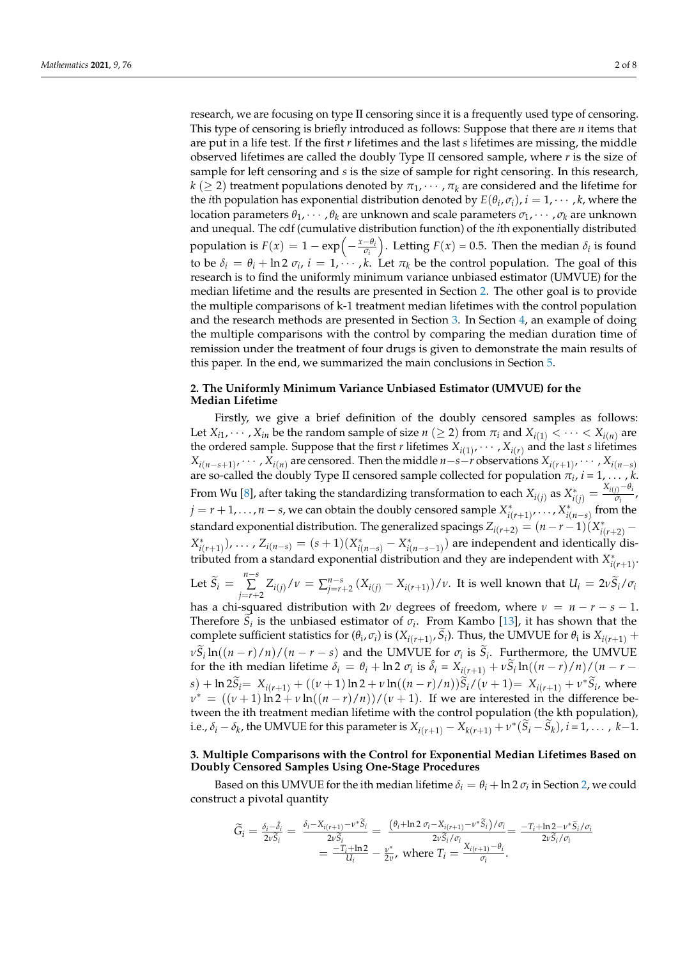research, we are focusing on type II censoring since it is a frequently used type of censoring. This type of censoring is briefly introduced as follows: Suppose that there are *n* items that are put in a life test. If the first *r* lifetimes and the last *s* lifetimes are missing, the middle observed lifetimes are called the doubly Type II censored sample, where *r* is the size of sample for left censoring and *s* is the size of sample for right censoring. In this research,  $k$  ( $\geq$  2) treatment populations denoted by  $\pi_1, \cdots, \pi_k$  are considered and the lifetime for the *i*th population has exponential distribution denoted by  $E(\theta_i, \sigma_i)$ ,  $i = 1, \cdots, k$ , where the location parameters  $\theta_1, \dots, \theta_k$  are unknown and scale parameters  $\sigma_1, \dots, \sigma_k$  are unknown and unequal. The cdf (cumulative distribution function) of the *i*th exponentially distributed population is  $F(x) = 1 - \exp\left(-\frac{x-\theta_i}{\sigma_i}\right)$ *σi* ). Letting  $F(x) = 0.5$ . Then the median  $\delta_i$  is found to be  $\delta_i = \theta_i + \ln 2 \sigma_i$ ,  $i = 1, \dots, k$ . Let  $\pi_k$  be the control population. The goal of this research is to find the uniformly minimum variance unbiased estimator (UMVUE) for the median lifetime and the results are presented in Section [2.](#page-1-0) The other goal is to provide the multiple comparisons of k-1 treatment median lifetimes with the control population and the research methods are presented in Section [3.](#page-1-1) In Section [4,](#page-5-0) an example of doing the multiple comparisons with the control by comparing the median duration time of remission under the treatment of four drugs is given to demonstrate the main results of this paper. In the end, we summarized the main conclusions in Section [5.](#page-6-0)

#### <span id="page-1-0"></span>**2. The Uniformly Minimum Variance Unbiased Estimator (UMVUE) for the Median Lifetime**

Firstly, we give a brief definition of the doubly censored samples as follows: Let  $X_{i1}, \dots, X_{in}$  be the random sample of size  $n \ (\geq 2)$  from  $\pi_i$  and  $X_{i(1)} < \dots < X_{i(n)}$  are the ordered sample. Suppose that the first *r* lifetimes  $X_{i(1)}, \cdots, X_{i(r)}$  and the last *s* lifetimes  $X_{i(n-s+1)}$ , · · · ,  $X_{i(n)}$  are censored. Then the middle *n*−*s*−*r* observations  $X_{i(r+1)}$ , · · · ,  $X_{i(n-s)}$ are so-called the doubly Type II censored sample collected for population *π<sup>i</sup>* , *i* = 1, . . . , *k*. From Wu [\[8\]](#page-7-7), after taking the standardizing transformation to each  $X_{i(j)}$  as  $X_{i(j)}^* = \frac{X_{i(j)} - \theta_i}{\sigma_i}$  $\frac{U}{\sigma_i}$ ,  $j = r + 1, \ldots, n - s$ , we can obtain the doubly censored sample  $X^*_{i(r+1)}, \ldots, X^*_{i(n-s)}$  from the standard exponential distribution. The generalized spacings  $Z_{i(r+2)} = (n-r-1)(X^*_{i(r+2)} (X_{i(r+1)}^*)$ , ...,  $Z_{i(n-s)} = (s+1)(X_{i(n-s)}^* - X_{i(n-s-1)}^*)$  are independent and identically distributed from a standard exponential distribution and they are independent with  $X^*_{i(r+1)}$ . Let  $\widetilde{S}_i = \sum_{i=r+1}^{n-s}$ ∑  $\sum_{j=r+2}^{n} Z_{i(j)}/\nu = \sum_{j=r+2}^{n-s} (X_{i(j)} - X_{i(r+1)})/\nu$ . It is well known that  $U_i = 2\nu \tilde{S}_i/\sigma_i$ has a chi-squared distribution with  $2\nu$  degrees of freedom, where  $\nu = n - r - s - 1$ . Therefore  $S_i$  is the unbiased estimator of  $\sigma_i$ . From Kambo [\[13\]](#page-7-12), it has shown that the

complete sufficient statistics for  $(\theta_i, \sigma_i)$  is  $(X_{i(r+1)}, S_i)$ . Thus, the UMVUE for  $\theta_i$  is  $X_{i(r+1)}$  +  $\nu S_i \ln((n-r)/n)/(n-r-s)$  and the UMVUE for *σ<sub>i</sub>* is *S<sub>i</sub>*. Furthermore, the UMVUE for the ith median lifetime  $\delta_i = \theta_i + \ln 2 \sigma_i$  is  $\hat{\delta}_i = X_{i(r+1)} + \nu \tilde{S}_i \ln((n-r)/n)/((n-r-1)/n)$  $s) + \ln 2\tilde{S}_i = X_{i(r+1)} + ((\nu+1)\ln 2 + \nu \ln((n-r)/n))\tilde{S}_i/(\nu+1) = X_{i(r+1)} + \nu^*\tilde{S}_i$ , where  $v^* = ((\nu + 1) \ln 2 + \nu \ln((n - r)/n))/( \nu + 1)$ . If we are interested in the difference between the ith treatment median lifetime with the control population (the kth population), i.e.,  $\delta_i - \delta_k$ , the UMVUE for this parameter is  $X_{i(r+1)} - X_{k(r+1)} + \nu^*(\tilde{S}_i - \tilde{S}_k)$ ,  $i = 1, ..., k-1$ .

# <span id="page-1-1"></span>**3. Multiple Comparisons with the Control for Exponential Median Lifetimes Based on Doubly Censored Samples Using One-Stage Procedures**

Based on this UMVUE for the ith median lifetime  $\delta_i = \theta_i + \ln 2 \sigma_i$  in Section [2,](#page-1-0) we could construct a pivotal quantity

$$
\begin{split} \widetilde{G}_{i} &= \frac{\delta_{i} - \delta_{i}}{2v\widetilde{S}_{i}} = \frac{\delta_{i} - X_{i(r+1)} - v^{*}\widetilde{S}_{i}}{2v\widetilde{S}_{i}} = \frac{\left(\theta_{i} + \ln 2 \sigma_{i} - X_{i(r+1)} - v^{*}\widetilde{S}_{i}\right) / \sigma_{i}}{2v\widetilde{S}_{i} / \sigma_{i}} = \frac{-T_{i} + \ln 2 - v^{*}\widetilde{S}_{i} / \sigma_{i}}{2v\widetilde{S}_{i} / \sigma_{i}} \\ &= \frac{-T_{i} + \ln 2}{U_{i}} - \frac{v^{*}}{2v}, \text{ where } T_{i} = \frac{X_{i(r+1)} - \theta_{i}}{\sigma_{i}}. \end{split}
$$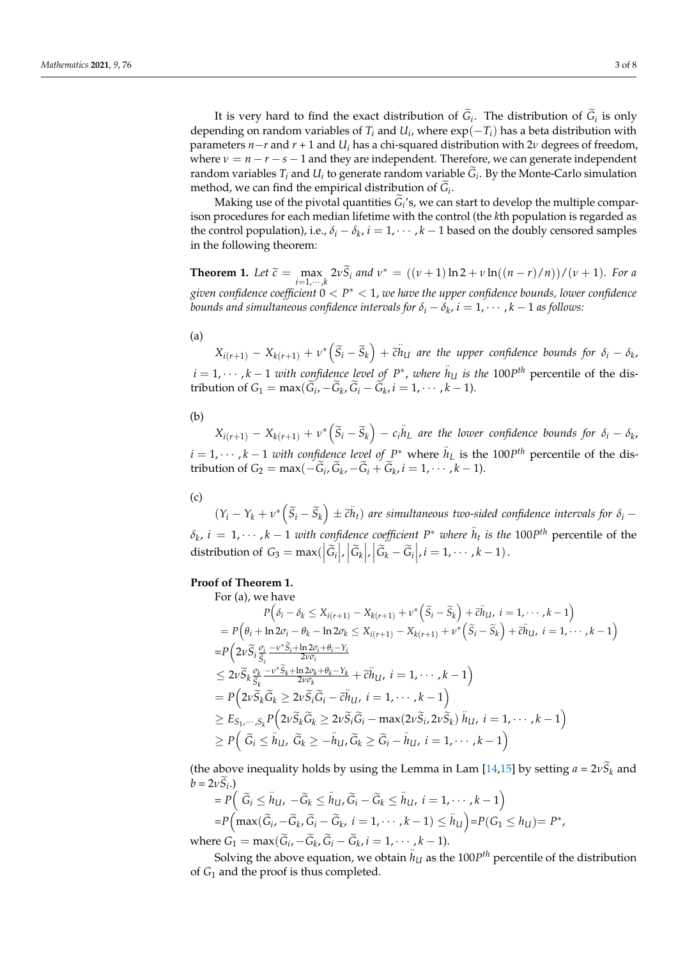It is very hard to find the exact distribution of  $G_i$ . The distribution of  $G_i$  is only depending on random variables of  $T_i$  and  $U_i$ , where  $exp(-T_i)$  has a beta distribution with parameters *n*−*r* and *r* + 1 and *U<sup>i</sup>* has a chi-squared distribution with 2*ν* degrees of freedom, where  $\nu = n - r - s - 1$  and they are independent. Therefore, we can generate independent random variables  $T_i$  and  $U_i$  to generate random variable  $G_i$ . By the Monte-Carlo simulation method, we can find the empirical distribution of  $G_i$ .

Making use of the pivotal quantities  $G_i$ 's, we can start to develop the multiple comparison procedures for each median lifetime with the control (the *k*th population is regarded as the control population), i.e.,  $\delta_i - \delta_k$ ,  $i = 1, \cdots, k - 1$  based on the doubly censored samples in the following theorem:

**Theorem 1.** Let  $\tilde{c} = \max_{i=1,\dots,k} 2v \tilde{S}_i$  and  $v^* = ((v+1)\ln 2 + v \ln((n-r)/n))/(v+1)$ . For a *given confidence coefficient* 0 < *P* <sup>∗</sup> < 1, *we have the upper confidence bounds, lower confidence bounds and simultaneous confidence intervals for*  $\delta_i - \delta_k$ *,*  $i = 1, \cdots, k-1$  *as follows:* 

(a)

 $X_{i(r+1)} - X_{k(r+1)} + \nu^* \left( \tilde{S}_i - \tilde{S}_k \right) + \tilde{c} \ddot{h}_U$  are the upper confidence bounds for  $\delta_i - \delta_k$ ,  $i = 1, \dots, k-1$  *with confidence level of*  $P^*$ , *where*  $h_{U}$  *is the* 100*P*<sup>th</sup> percentile of the distribution of  $G_1 = \max(G_i, -G_k, G_i - G_k, i = 1, \dots, k - 1)$ .

(b)

 $X_{i(r+1)}-X_{k(r+1)}+v^*\left(\widetilde{S}_i-\widetilde{S}_k\right)-c_i\ddot{h}_L$  are the lower confidence bounds for  $\delta_i-\delta_k$ ,  $i = 1, \dots, k-1$  *with confidence level of*  $P^*$  where  $h_L$  is the 100*P*<sup>th</sup> percentile of the distribution of  $G_2 = \max(-G_i, G_k, -G_i + G_k, i = 1, \dots, k - 1)$ .

(c)

 $(Y_i - Y_k + v^* (\tilde{S}_i - \tilde{S}_k) \pm \tilde{c}h_t)$  are simultaneous two-sided confidence intervals for  $\delta_i$  −  $\delta_k$ ,  $i = 1, \dots, k-1$  *with confidence coefficient*  $P^*$  *where*  $h_t$  *is the* 100*P*<sup>th</sup> percentile of the distribution of  $G_3 = \max\left(\left|\tilde{G}_i\right|, \left|\tilde{G}_k\right|, \left|\tilde{G}_k - \tilde{G}_i\right|, i = 1, \dots, k - 1\right).$ 

## **Proof of Theorem 1.**

For (a), we have  
\n
$$
P\left(\delta_{i} - \delta_{k} \leq X_{i(r+1)} - X_{k(r+1)} + \nu^{*}\left(\tilde{S}_{i} - \tilde{S}_{k}\right) + \tilde{c}\tilde{h}_{U}, i = 1, \dots, k-1\right)
$$
\n
$$
= P\left(\theta_{i} + \ln 2\sigma_{i} - \theta_{k} - \ln 2\sigma_{k} \leq X_{i(r+1)} - X_{k(r+1)} + \nu^{*}\left(\tilde{S}_{i} - \tilde{S}_{k}\right) + \tilde{c}\tilde{h}_{U}, i = 1, \dots, k-1\right)
$$
\n
$$
= P\left(2\nu\tilde{S}_{i}\frac{\sigma_{i}}{\tilde{S}_{i}} - \nu^{*}\tilde{S}_{i} + \ln 2\sigma_{i} + \theta_{i} - Y_{i}
$$
\n
$$
\leq 2\nu\tilde{S}_{k}\frac{\sigma_{k}}{\tilde{S}_{k}} - \nu^{*}\tilde{S}_{k} + \ln 2\sigma_{k} + \theta_{k} - Y_{k}}{2\nu\sigma_{k}}
$$
\n
$$
= P\left(2\nu\tilde{S}_{k}\tilde{G}_{k} \geq 2\nu\tilde{S}_{i}\tilde{G}_{i} - \tilde{c}\tilde{h}_{U}, i = 1, \dots, k-1\right)
$$
\n
$$
\geq E_{S_{1},\dots, S_{k}}P\left(2\nu\tilde{S}_{k}\tilde{G}_{k} \geq 2\nu\tilde{S}_{i}\tilde{G}_{i} - \max(2\nu\tilde{S}_{i}, 2\nu\tilde{S}_{k})\tilde{h}_{U}, i = 1, \dots, k-1\right)
$$
\n
$$
\geq P\left(\tilde{G}_{i} \leq \tilde{h}_{U}, \tilde{G}_{k} \geq -\tilde{h}_{U}, \tilde{G}_{k} \geq \tilde{G}_{i} - \tilde{h}_{U}, i = 1, \dots, k-1\right)
$$

(the above inequality holds by using the Lemma in Lam [\[14](#page-7-13)[,15\]](#page-7-14) by setting  $a = 2vS_k$  and  $b = 2vS_i$ .) .. .. ..

$$
= P\Big(\widetilde{G}_i \leq \widetilde{h}_{U}, -\widetilde{G}_k \leq \widetilde{h}_{U}, \widetilde{G}_i - \widetilde{G}_k \leq \widetilde{h}_{U}, i = 1, \cdots, k-1\Big) = P\Big(\max(\widetilde{G}_i, -\widetilde{G}_k, \widetilde{G}_i - \widetilde{G}_k, i = 1, \cdots, k-1) \leq \widetilde{h}_{U}\Big) = P(G_1 \leq h_{U}) = P^*,where  $G_1 = \max(\widetilde{G}_i, -\widetilde{G}_k, \widetilde{G}_i - \widetilde{G}_k, i = 1, \cdots, k-1).$
$$

Solving the above equation, we obtain  $h_U$  as the 100*P*<sup>th</sup> percentile of the distribution of *G*<sup>1</sup> and the proof is thus completed.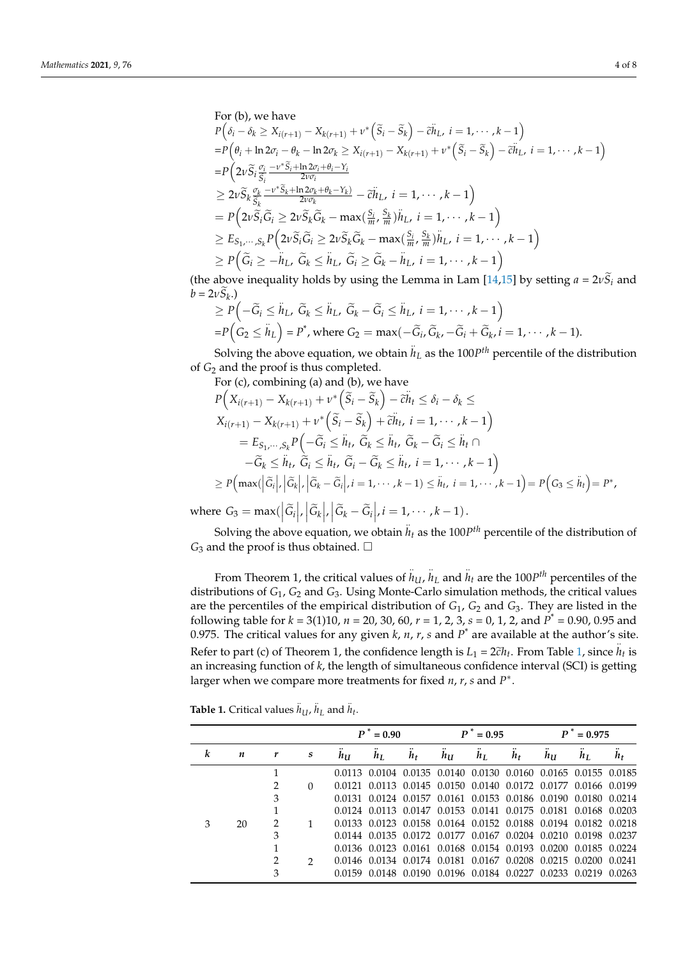For (b), we have  
\n
$$
P(\delta_i - \delta_k \ge X_{i(r+1)} - X_{k(r+1)} + \nu^* (\tilde{S}_i - \tilde{S}_k) - \tilde{c}h_L, i = 1, \dots, k-1)
$$
\n
$$
= P(\theta_i + \ln 2\sigma_i - \theta_k - \ln 2\sigma_k \ge X_{i(r+1)} - X_{k(r+1)} + \nu^* (\tilde{S}_i - \tilde{S}_k) - \tilde{c}h_L, i = 1, \dots, k-1)
$$
\n
$$
= P(2\nu \tilde{S}_i \frac{\sigma_i}{\tilde{S}_i} - \frac{\nu^* \tilde{S}_i + \ln 2\sigma_i + \theta_i - Y_i}{2\nu \sigma_i}
$$
\n
$$
\ge 2\nu \tilde{S}_k \frac{\sigma_k}{\tilde{S}_k} - \frac{\nu^* \tilde{S}_k + \ln 2\sigma_k + \theta_k - Y_k}{2\nu \sigma_k} - \tilde{c}h_L, i = 1, \dots, k-1
$$
\n
$$
= P(2\nu \tilde{S}_i \tilde{G}_i \ge 2\nu \tilde{S}_k \tilde{G}_k - \max(\frac{S_i}{m}, \frac{S_k}{m})h_L, i = 1, \dots, k-1)
$$
\n
$$
\ge E_{S_1, \dots, S_k} P(2\nu \tilde{S}_i \tilde{G}_i \ge 2\nu \tilde{S}_k \tilde{G}_k - \max(\frac{S_i}{m}, \frac{S_k}{m})h_L, i = 1, \dots, k-1)
$$
\n
$$
\ge P(\tilde{G}_i \ge -h_L, \tilde{G}_k \le h_L, \tilde{G}_i \ge \tilde{G}_k - h_L, i = 1, \dots, k-1)
$$

(the above inequality holds by using the Lemma in Lam [\[14,](#page-7-13)[15\]](#page-7-14) by setting  $a = 2vS_i$  and  $b = 2\upsilon S_k$ .)

$$
\geq P\left(-\widetilde{G}_i \leq \widetilde{h}_L, \ \widetilde{G}_k \leq \widetilde{h}_L, \ \widetilde{G}_k - \widetilde{G}_i \leq \widetilde{h}_L, \ i = 1, \cdots, k-1\right) = P\left(G_2 \leq \widetilde{h}_L\right) = P^*, \text{ where } G_2 = \max(-\widetilde{G}_i, \widetilde{G}_k, -\widetilde{G}_i + \widetilde{G}_k, i = 1, \cdots, k-1).
$$

Solving the above equation, we obtain  $\ddot{h}_L$  as the 100*P*<sup>th</sup> percentile of the distribution of *G*<sup>2</sup> and the proof is thus completed.

For (c), combining (a) and (b), we have

$$
P\Big(X_{i(r+1)} - X_{k(r+1)} + \nu^* \Big(\widetilde{S}_i - \widetilde{S}_k\Big) - \widetilde{c}h_t \le \delta_i - \delta_k \le
$$
  
\n
$$
X_{i(r+1)} - X_{k(r+1)} + \nu^* \Big(\widetilde{S}_i - \widetilde{S}_k\Big) + \widetilde{c}h_t, \ i = 1, \cdots, k-1
$$
  
\n
$$
= E_{S_1, \cdots, S_k} P\Big(-\widetilde{G}_i \le \widetilde{h}_t, \ \widetilde{G}_k \le \widetilde{h}_t, \ \widetilde{G}_k - \widetilde{G}_i \le \widetilde{h}_t \cap
$$
  
\n
$$
-\widetilde{G}_k \le \widetilde{h}_t, \ \widetilde{G}_i \le \widetilde{h}_t, \ \widetilde{G}_i - \widetilde{G}_k \le \widetilde{h}_t, \ i = 1, \cdots, k-1
$$
  
\n
$$
\ge P\Big(\max\Big(|\widetilde{G}_i|, \big|\widetilde{G}_k\big|, \big|\widetilde{G}_k - \widetilde{G}_i\big|, i = 1, \cdots, k-1) \le \widetilde{h}_t, \ i = 1, \cdots, k-1\Big) = P\Big(G_3 \le \widetilde{h}_t\Big) = P^*,
$$

where  $G_3 = \max\left(\left|\tilde{G}_i\right|, \left|\tilde{G}_k\right|, \left|\tilde{G}_k - \tilde{G}_i\right|, i = 1, \dots, k - 1\right).$ 

Solving the above equation, we obtain  $h_t$  as the 100*P<sup>th</sup>* percentile of the distribution of  $G_3$  and the proof is thus obtained.  $\square$ 

From Theorem 1, the critical values of  $\ddot{h}_{U}$ ,  $\ddot{h}_{L}$  and  $\ddot{h}_{t}$  are the 100*P<sup>th</sup>* percentiles of the distributions of *G*1, *G*<sup>2</sup> and *G*3. Using Monte-Carlo simulation methods, the critical values are the percentiles of the empirical distribution of *G*1, *G*<sup>2</sup> and *G*3. They are listed in the following table for *k* = 3(1)10, *n* = 20, 30, 60, *r* = 1, 2, 3, *s* = 0, 1, 2, and *P* \* = 0.90, 0.95 and 0.975. The critical values for any given *k*, *n*, *r*, *s* and *P* \* are available at the author's site. Refer to part (c) of Theorem [1,](#page-5-1) the confidence length is  $L_1 = 2\tilde{c}h_t$ . From Table 1, since  $\tilde{h}_t$  is an increasing function of *k*, the length of simultaneous confidence interval (SCI) is getting larger when we compare more treatments for fixed *n*, *r*, *s* and *P* ∗ .

**Table 1.** Critical values  $\ddot{h}_U$ ,  $\ddot{h}_L$  and  $\ddot{h}_t$ .

|   |    |               |               |             | $P^* = 0.90$ |       |                                                                | $P^* = 0.95$ |                | $\boldsymbol{p}^*$ | $t = 0.975$ |                |
|---|----|---------------|---------------|-------------|--------------|-------|----------------------------------------------------------------|--------------|----------------|--------------------|-------------|----------------|
| k | n  |               | S             | $h_{\rm U}$ | hΙ.          | $h_t$ | $h_{\rm U}$                                                    | $h_{\rm L}$  | h <sub>t</sub> | hu                 | hı.         | h <sub>t</sub> |
|   |    |               |               |             |              |       | 0.0113 0.0104 0.0135 0.0140 0.0130 0.0160 0.0165 0.0155 0.0185 |              |                |                    |             |                |
|   |    |               | $\Omega$      |             |              |       | 0.0121 0.0113 0.0145 0.0150 0.0140 0.0172 0.0177 0.0166 0.0199 |              |                |                    |             |                |
|   |    | 3             |               |             |              |       | 0.0131 0.0124 0.0157 0.0161 0.0153 0.0186 0.0190 0.0180 0.0214 |              |                |                    |             |                |
|   |    |               |               |             |              |       | 0.0124 0.0113 0.0147 0.0153 0.0141 0.0175 0.0181 0.0168 0.0203 |              |                |                    |             |                |
|   | 20 |               |               |             |              |       | 0.0133 0.0123 0.0158 0.0164 0.0152 0.0188 0.0194 0.0182 0.0218 |              |                |                    |             |                |
|   |    | 3             |               |             |              |       | 0.0144 0.0135 0.0172 0.0177 0.0167 0.0204 0.0210 0.0198 0.0237 |              |                |                    |             |                |
|   |    |               |               |             |              |       | 0.0136 0.0123 0.0161 0.0168 0.0154 0.0193 0.0200 0.0185 0.0224 |              |                |                    |             |                |
|   |    | $\mathcal{L}$ | $\mathcal{D}$ |             |              |       | 0.0146 0.0134 0.0174 0.0181 0.0167 0.0208 0.0215 0.0200 0.0241 |              |                |                    |             |                |
|   |    | 3             |               |             |              |       | 0.0159 0.0148 0.0190 0.0196 0.0184 0.0227 0.0233 0.0219 0.0263 |              |                |                    |             |                |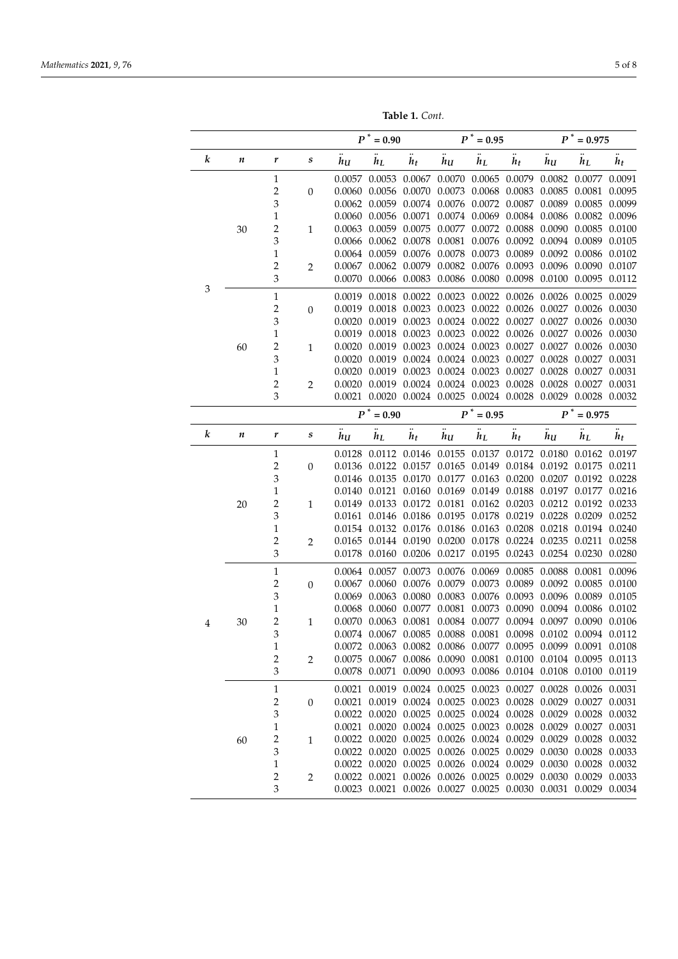**Table 1.** *Cont.*

|   |           | $P^*=0.90$              |                  |              | $P^* = 0.95$  |              |                  | $P^* = 0.975$ |              |                                                                                                                  |               |              |
|---|-----------|-------------------------|------------------|--------------|---------------|--------------|------------------|---------------|--------------|------------------------------------------------------------------------------------------------------------------|---------------|--------------|
| k | $\pmb{n}$ | r                       | s                | $\ddot{h}_U$ | $\ddot{h}_L$  | $\ddot{h}_t$ | $\overline{h_U}$ | $\ddot{h}_L$  | $\ddot{h}_t$ | $\ddot{h}_U$                                                                                                     | $\ddot{h}_L$  | $\ddot{h}_t$ |
|   |           | $\mathbf{1}$            |                  | 0.0057       |               |              |                  |               |              | $0.0053$ $0.0067$ $0.0070$ $0.0065$ $0.0079$ $0.0082$ $0.0077$ $0.0091$                                          |               |              |
|   |           | $\boldsymbol{2}$        | $\boldsymbol{0}$ |              |               |              |                  |               |              | $0.0060 \quad 0.0056 \quad 0.0070 \quad 0.0073 \quad 0.0068 \quad 0.0083 \quad 0.0085 \quad 0.0081 \quad 0.0095$ |               |              |
|   |           | 3                       |                  |              |               |              |                  |               |              | 0.0062 0.0059 0.0074 0.0076 0.0072 0.0087 0.0089 0.0085 0.0099                                                   |               |              |
|   |           | 1                       |                  | 0.0060       |               |              |                  |               |              | 0.0056 0.0071 0.0074 0.0069 0.0084 0.0086 0.0082 0.0096                                                          |               |              |
|   | 30        | 2                       | $\mathbf{1}$     | 0.0063       |               |              |                  |               |              | 0.0059 0.0075 0.0077 0.0072 0.0088 0.0090 0.0085 0.0100                                                          |               |              |
|   |           | 3                       |                  |              |               |              |                  |               |              | 0.0066 0.0062 0.0078 0.0081 0.0076 0.0092 0.0094 0.0089 0.0105                                                   |               |              |
|   |           | 1                       |                  |              |               |              |                  |               |              | 0.0064 0.0059 0.0076 0.0078 0.0073 0.0089 0.0092 0.0086 0.0102                                                   |               |              |
|   |           | $\mathbf 2$             | $\overline{c}$   |              |               |              |                  |               |              | 0.0067 0.0062 0.0079 0.0082 0.0076 0.0093 0.0096 0.0090 0.0107                                                   |               |              |
| 3 |           | 3                       |                  |              |               |              |                  |               |              | 0.0070 0.0066 0.0083 0.0086 0.0080 0.0098 0.0100 0.0095 0.0112                                                   |               |              |
|   |           | $\mathbf{1}$            |                  |              |               |              |                  |               |              | 0.0019 0.0018 0.0022 0.0023 0.0022 0.0026 0.0026 0.0025 0.0029                                                   |               |              |
|   |           | $\overline{c}$          | $\boldsymbol{0}$ |              |               |              |                  |               |              | 0.0019 0.0018 0.0023 0.0023 0.0022 0.0026 0.0027 0.0026 0.0030                                                   |               |              |
|   |           | 3                       |                  | 0.0020       |               |              |                  |               |              | 0.0019 0.0023 0.0024 0.0022 0.0027 0.0027 0.0026 0.0030                                                          |               |              |
|   |           | $\mathbf{1}$            |                  |              |               |              |                  |               |              | 0.0019 0.0018 0.0023 0.0023 0.0022 0.0026 0.0027 0.0026 0.0030                                                   |               |              |
|   | 60        | $\overline{\mathbf{c}}$ | $\mathbf{1}$     | 0.0020       |               |              |                  |               |              | 0.0019 0.0023 0.0024 0.0023 0.0027 0.0027 0.0026 0.0030                                                          |               |              |
|   |           | 3                       |                  | 0.0020       |               |              |                  |               |              | 0.0019 0.0024 0.0024 0.0023 0.0027 0.0028 0.0027 0.0031                                                          |               |              |
|   |           | 1                       |                  | 0.0020       |               |              |                  |               |              | 0.0019 0.0023 0.0024 0.0023 0.0027 0.0028 0.0027 0.0031                                                          |               |              |
|   |           | 2                       | $\mathbf{2}$     | 0.0020       |               |              |                  |               |              | 0.0019 0.0024 0.0024 0.0023 0.0028 0.0028 0.0027 0.0031                                                          |               |              |
|   |           | 3                       |                  |              |               |              |                  |               |              | 0.0021 0.0020 0.0024 0.0025 0.0024 0.0028 0.0029 0.0028 0.0032                                                   |               |              |
|   |           |                         |                  |              | $P^* = 0.90$  |              |                  | $P^* = 0.95$  |              |                                                                                                                  | $P^* = 0.975$ |              |
| k | $\pmb{n}$ | r                       | $\boldsymbol{s}$ | $\ddot{h}_U$ | $h_L$         | $\ddot{h}_t$ | $h_{U}$          | $h_L$         | $h_t$        | $h_{U}$                                                                                                          | $h_L$         | $h_t$        |
|   | 20        | $\mathbf{1}$            |                  |              |               |              |                  |               |              | 0.0128 0.0112 0.0146 0.0155 0.0137 0.0172 0.0180 0.0162 0.0197                                                   |               |              |
|   |           | 2                       | $\boldsymbol{0}$ |              |               |              |                  |               |              | 0.0136 0.0122 0.0157 0.0165 0.0149 0.0184 0.0192 0.0175 0.0211                                                   |               |              |
|   |           | 3                       |                  |              |               |              |                  |               |              | 0.0146 0.0135 0.0170 0.0177 0.0163 0.0200 0.0207 0.0192 0.0228                                                   |               |              |
|   |           | $\mathbf 1$             |                  |              |               |              |                  |               |              | 0.0140 0.0121 0.0160 0.0169 0.0149 0.0188 0.0197 0.0177 0.0216                                                   |               |              |
|   |           | $\overline{\mathbf{c}}$ | $\mathbf{1}$     |              |               |              |                  |               |              | 0.0149 0.0133 0.0172 0.0181 0.0162 0.0203 0.0212 0.0192 0.0233                                                   |               |              |
|   |           | 3                       |                  |              |               |              |                  |               |              | 0.0161 0.0146 0.0186 0.0195 0.0178 0.0219 0.0228 0.0209 0.0252                                                   |               |              |
|   |           | 1                       |                  |              |               |              |                  |               |              | 0.0154 0.0132 0.0176 0.0186 0.0163 0.0208 0.0218 0.0194 0.0240                                                   |               |              |
|   |           | $\overline{c}$          | $\overline{2}$   |              |               |              |                  |               |              | 0.0165 0.0144 0.0190 0.0200 0.0178 0.0224 0.0235 0.0211 0.0258                                                   |               |              |
|   |           | 3                       |                  |              |               |              |                  |               |              | 0.0178 0.0160 0.0206 0.0217 0.0195 0.0243 0.0254 0.0230 0.0280                                                   |               |              |
|   |           | $1\,$                   |                  |              |               |              |                  |               |              | 0.0064 0.0057 0.0073 0.0076 0.0069 0.0085 0.0088 0.0081 0.0096                                                   |               |              |
|   |           | $\overline{c}$          | $\boldsymbol{0}$ |              | 0.0067 0.0060 |              |                  |               |              | 0.0076 0.0079 0.0073 0.0089 0.0092 0.0085 0.0100                                                                 |               |              |
|   |           | 3                       |                  |              |               |              |                  |               |              | 0.0069 0.0063 0.0080 0.0083 0.0076 0.0093 0.0096 0.0089 0.0105                                                   |               |              |
|   |           | 1                       |                  | 0.0068       | 0.0060        |              |                  |               |              | 0.0077 0.0081 0.0073 0.0090 0.0094 0.0086 0.0102                                                                 |               |              |
| 4 | 30        | $\overline{c}$          | $\mathbf{1}$     |              |               |              |                  |               |              | $0.0070$ $0.0063$ $0.0081$ $0.0084$ $0.0077$ $0.0094$ $0.0097$ $0.0090$ $0.0106$                                 |               |              |
|   |           | 3                       |                  |              |               |              |                  |               |              | 0.0074 0.0067 0.0085 0.0088 0.0081 0.0098 0.0102 0.0094 0.0112                                                   |               |              |
|   |           | 1                       |                  |              |               |              |                  |               |              | 0.0072 0.0063 0.0082 0.0086 0.0077 0.0095 0.0099 0.0091 0.0108                                                   |               |              |
|   |           | $\overline{2}$          | $\overline{2}$   |              |               |              |                  |               |              | 0.0075 0.0067 0.0086 0.0090 0.0081 0.0100 0.0104 0.0095 0.0113                                                   |               |              |
|   |           | 3                       |                  |              |               |              |                  |               |              | 0.0078 0.0071 0.0090 0.0093 0.0086 0.0104 0.0108 0.0100 0.0119                                                   |               |              |
|   |           | $\mathbf{1}$            |                  |              |               |              |                  |               |              | 0.0021 0.0019 0.0024 0.0025 0.0023 0.0027 0.0028 0.0026 0.0031                                                   |               |              |
|   |           | 2                       | $\mathbf{0}$     |              |               |              |                  |               |              | 0.0021 0.0019 0.0024 0.0025 0.0023 0.0028 0.0029 0.0027 0.0031                                                   |               |              |
|   |           | 3                       |                  |              |               |              |                  |               |              | 0.0022 0.0020 0.0025 0.0025 0.0024 0.0028 0.0029 0.0028 0.0032                                                   |               |              |
|   |           | 1                       |                  |              |               |              |                  |               |              | 0.0021 0.0020 0.0024 0.0025 0.0023 0.0028 0.0029 0.0027 0.0031                                                   |               |              |
|   | 60        | $\overline{c}$          | 1                |              |               |              |                  |               |              | $0.0022$ $0.0020$ $0.0025$ $0.0026$ $0.0024$ $0.0029$ $0.0029$ $0.0028$                                          |               | 0.0032       |
|   |           | 3                       |                  |              |               |              |                  |               |              | $0.0022\  \  0.0020\  \  0.0025\  \  0.0026\  \  0.0025\  \  0.0029\  \  0.0030\  \  0.0028$                     |               | 0.0033       |
|   |           | $\mathbf 1$             |                  |              |               |              |                  |               |              | $0.0022$ $0.0020$ $0.0025$ $0.0026$ $0.0024$ $0.0029$ $0.0030$ $0.0028$                                          |               | 0.0032       |
|   |           | $\overline{\mathbf{c}}$ | $\overline{2}$   |              |               |              |                  |               |              | 0.0022 0.0021 0.0026 0.0026 0.0025 0.0029 0.0030 0.0029 0.0033                                                   |               |              |
|   |           | 3                       |                  |              |               |              |                  |               |              | 0.0023 0.0021 0.0026 0.0027 0.0025 0.0030 0.0031 0.0029 0.0034                                                   |               |              |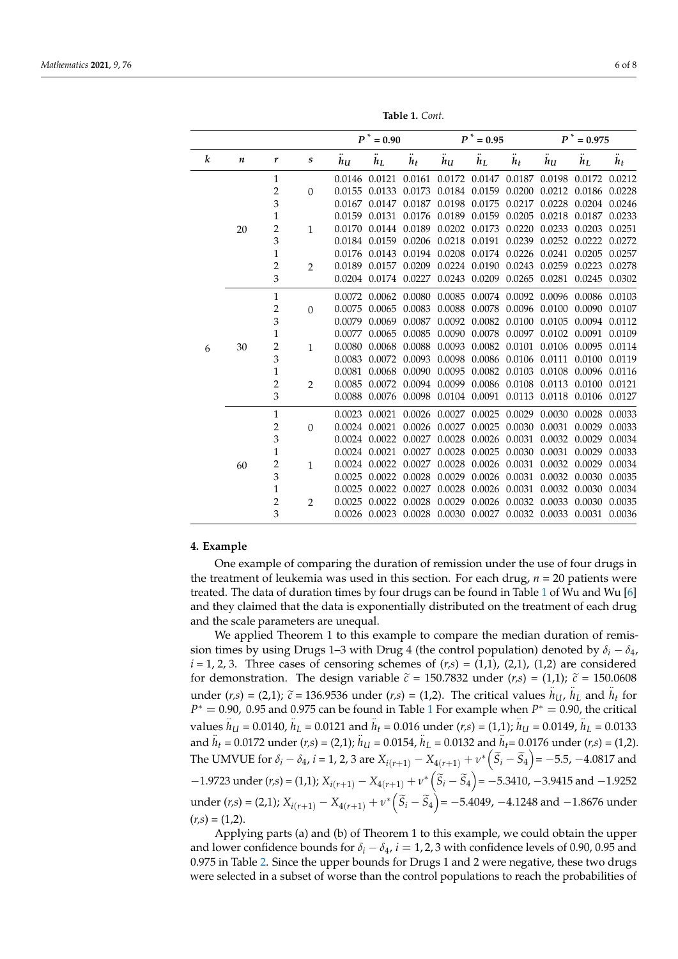<span id="page-5-1"></span>

|   |           |                         |                | $P^*=0.90$ |               | $P^* = 0.95$              |                                           |                             | $P$ $^*$ = 0.975          |                      |                           |        |
|---|-----------|-------------------------|----------------|------------|---------------|---------------------------|-------------------------------------------|-----------------------------|---------------------------|----------------------|---------------------------|--------|
| k | $\pmb{n}$ | r                       | $\pmb{S}$      | $h_{U}$    | $h_L$         | $\bullet\bullet$<br>$h_t$ | $h_{U}$                                   | $h_L$                       | $\bullet\bullet$<br>$h_t$ | <br>$h_{\mathbf{U}}$ | $\bullet\bullet$<br>$h_L$ | $h_t$  |
|   |           | $\mathbf{1}$            |                | 0.0146     | 0.0121        | 0.0161                    |                                           | 0.0172 0.0147               | 0.0187                    | 0.0198               | 0.0172                    | 0.0212 |
|   |           | $\overline{c}$          | $\theta$       | 0.0155     | 0.0133        | 0.0173                    | 0.0184                                    | 0.0159                      | 0.0200                    | 0.0212               | 0.0186                    | 0.0228 |
|   |           | 3                       |                | 0.0167     | 0.0147        | 0.0187                    | 0.0198                                    | 0.0175                      | 0.0217                    | 0.0228               | 0.0204                    | 0.0246 |
|   |           | $\mathbf{1}$            |                | 0.0159     | 0.0131        | 0.0176                    |                                           | 0.0189 0.0159 0.0205        |                           | 0.0218               | 0.0187                    | 0.0233 |
|   | 20        | $\overline{2}$          | $\mathbf{1}$   | 0.0170     | 0.0144        | 0.0189                    | 0.0202                                    | 0.0173                      | 0.0220                    | 0.0233               | 0.0203                    | 0.0251 |
|   |           | 3                       |                | 0.0184     | 0.0159        | 0.0206                    |                                           | 0.0218 0.0191               | 0.0239                    | 0.0252               | 0.0222                    | 0.0272 |
|   |           | $\mathbf{1}$            |                | 0.0176     | 0.0143        | 0.0194                    | 0.0208                                    | 0.0174 0.0226               |                           | 0.0241               | 0.0205                    | 0.0257 |
|   |           | $\overline{2}$          | 2              | 0.0189     | 0.0157        | 0.0209                    |                                           | 0.0224 0.0190               | 0.0243                    | 0.0259               | 0.0223                    | 0.0278 |
|   |           | 3                       |                | 0.0204     |               | 0.0174 0.0227             |                                           | 0.0243 0.0209 0.0265 0.0281 |                           |                      | 0.0245 0.0302             |        |
|   |           | $\mathbf{1}$            |                | 0.0072     | 0.0062        | 0.0080                    | 0.0085                                    |                             | 0.0074 0.0092 0.0096      |                      | 0.0086                    | 0.0103 |
|   | 30        | $\mathbf 2$             | $\Omega$       | 0.0075     | 0.0065        | 0.0083                    |                                           | 0.0088 0.0078 0.0096        |                           | 0.0100               | 0.0090                    | 0.0107 |
|   |           | 3                       |                | 0.0079     | 0.0069        | 0.0087                    |                                           | 0.0092 0.0082 0.0100        |                           | 0.0105               | 0.0094                    | 0.0112 |
|   |           | $\mathbf{1}$            |                | 0.0077     | 0.0065        | 0.0085                    | 0.0090                                    | 0.0078                      | 0.0097                    | 0.0102               | 0.0091                    | 0.0109 |
| 6 |           | $\overline{c}$          | $\mathbf{1}$   | 0.0080     | 0.0068        | 0.0088                    | 0.0093                                    | 0.0082 0.0101               |                           | 0.0106               | 0.0095                    | 0.0114 |
|   |           | 3                       |                | 0.0083     | 0.0072        | 0.0093                    | 0.0098                                    | 0.0086                      | 0.0106                    | 0.0111               | 0.0100                    | 0.0119 |
|   |           | $\mathbf{1}$            |                | 0.0081     | 0.0068        | 0.0090                    | 0.0095                                    | 0.0082                      | 0.0103                    | 0.0108               | 0.0096                    | 0.0116 |
|   |           | $\overline{c}$          | $\overline{2}$ | 0.0085     | 0.0072        | 0.0094                    | 0.0099                                    |                             | 0.0086 0.0108             | 0.0113               | 0.0100                    | 0.0121 |
|   |           | 3                       |                | 0.0088     |               | 0.0076 0.0098             |                                           | 0.0104 0.0091               |                           | 0.0113 0.0118        | 0.0106                    | 0.0127 |
|   |           | $\mathbf{1}$            |                | 0.0023     | 0.0021        |                           | 0.0026 0.0027 0.0025 0.0029               |                             |                           | 0.0030               | 0.0028 0.0033             |        |
|   |           | $\overline{c}$          | $\Omega$       |            |               |                           | 0.0024 0.0021 0.0026 0.0027               | 0.0025 0.0030               |                           | 0.0031               | 0.0029                    | 0.0033 |
|   |           | 3                       |                |            | 0.0024 0.0022 | 0.0027                    | 0.0028                                    | 0.0026                      | 0.0031                    | 0.0032               | 0.0029                    | 0.0034 |
|   |           | $\mathbf{1}$            |                |            | 0.0024 0.0021 | 0.0027                    | 0.0028                                    | 0.0025                      | 0.0030                    | 0.0031               | 0.0029                    | 0.0033 |
|   | 60        | $\overline{\mathbf{c}}$ | $\mathbf{1}$   | 0.0024     | 0.0022        | 0.0027                    | 0.0028                                    | 0.0026                      | 0.0031                    | 0.0032               | 0.0029                    | 0.0034 |
|   |           | 3                       |                | 0.0025     | 0.0022        | 0.0028                    | 0.0029                                    | 0.0026                      | 0.0031                    | 0.0032               | 0.0030                    | 0.0035 |
|   |           | $\mathbf{1}$            |                | 0.0025     | 0.0022        | 0.0027                    | 0.0028                                    | 0.0026                      | 0.0031                    | 0.0032               | 0.0030                    | 0.0034 |
|   |           | 2                       | $\overline{2}$ | 0.0025     | 0.0022        | 0.0028                    | 0.0029                                    | 0.0026                      | 0.0032                    | 0.0033               | 0.0030                    | 0.0035 |
|   |           | 3                       |                | 0.0026     |               |                           | 0.0023 0.0028 0.0030 0.0027 0.0032 0.0033 |                             |                           |                      | 0.0031                    | 0.0036 |

**Table 1.** *Cont.*

#### <span id="page-5-0"></span>**4. Example**

One example of comparing the duration of remission under the use of four drugs in the treatment of leukemia was used in this section. For each drug,  $n = 20$  patients were treated. The data of duration times by four drugs can be found in Table [1](#page-5-1) of Wu and Wu [\[6\]](#page-7-5) and they claimed that the data is exponentially distributed on the treatment of each drug and the scale parameters are unequal.

We applied Theorem 1 to this example to compare the median duration of remission times by using Drugs 1–3 with Drug 4 (the control population) denoted by  $\delta_i - \delta_4$ ,  $i = 1, 2, 3$ . Three cases of censoring schemes of  $(r,s) = (1,1)$ ,  $(2,1)$ ,  $(1,2)$  are considered for demonstration. The design variable  $\tilde{c}$  = 150.7832 under (*r*,*s*) = (1,1);  $\tilde{c}$  = 150.0608 under  $(r,s) = (2,1)$ ;  $\tilde{c} = 136.9536$  under  $(r,s) = (1,2)$ . The critical values  $h_U$ ,  $h_L$  and  $h_t$  for  $P^* = 0.90$ ,  $0.95$  and  $0.975$  can be found in Table 1. For example vibra  $P^* = 0.90$ , the critical  $P^* = 0.90$ , 0.95 and 0.975 can be found in Table [1](#page-5-1) For example when  $P^* = 0.90$ , the critical values  $h_{U} = 0.0140$ ,  $h_{L} = 0.0121$  and  $h_{t} = 0.016$  under  $(r,s) = (1,1)$ ;  $h_{U} = 0.0149$ ,  $h_{L} = 0.0133$ and *h<sup>t</sup>* = 0.0172 under (*r,s*) = (2,1); *h<sup>U</sup>* = 0.0154, *h<sup>L</sup>* = 0.0132 and *ht*= 0.0176 under (*r,s*) = (1,2). The UMVUE for  $\delta_i - \delta_4$ ,  $i = 1, 2, 3$  are  $X_{i(r+1)} - X_{4(r+1)} + \nu^* \left( \widetilde{S}_i - \widetilde{S}_4 \right) = -5.5, -4.0817$  and  $-1.9723$  under  $(r,s) = (1,1); X_{i(r+1)} - X_{4(r+1)} + v^* \left(\tilde{S}_i - \tilde{S}_4\right) = -5.3410, -3.9415$  and  $-1.9252$ under (*r*,*s*) = (2,1);  $X_{i(r+1)} - X_{4(r+1)} + v^* (\tilde{S}_i - \tilde{S}_4) = -5.4049$ , -4.1248 and -1.8676 under  $(r,s) = (1,2).$ 

Applying parts (a) and (b) of Theorem 1 to this example, we could obtain the upper and lower confidence bounds for  $\delta_i - \delta_4$ , *i* = 1, 2, 3 with confidence levels of 0.90, 0.95 and 0.975 in Table [2.](#page-6-1) Since the upper bounds for Drugs 1 and 2 were negative, these two drugs were selected in a subset of worse than the control populations to reach the probabilities of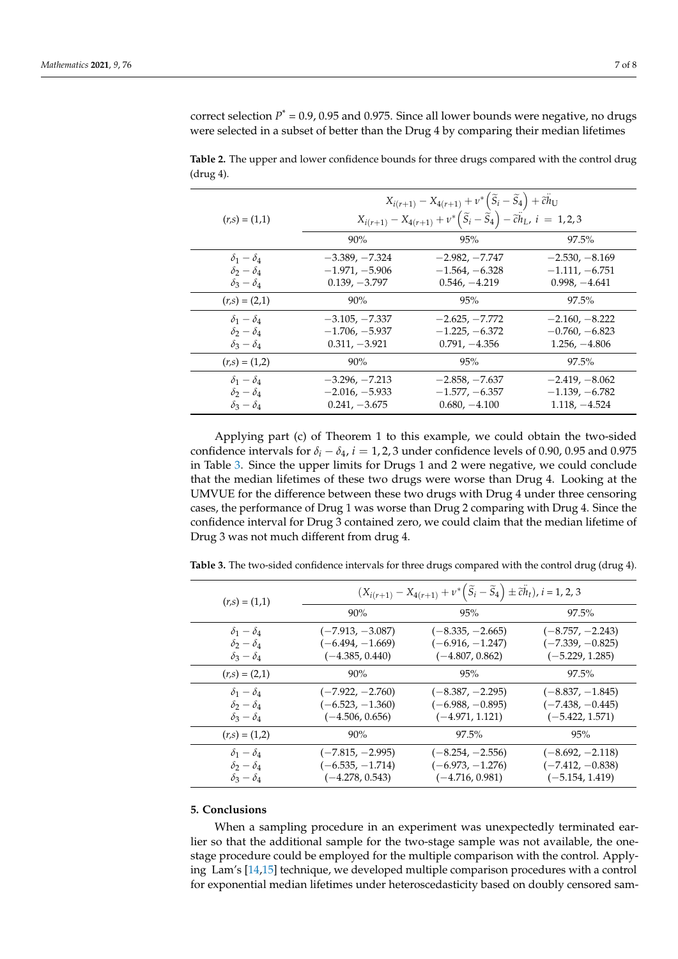correct selection  $P^* = 0.9$ , 0.95 and 0.975. Since all lower bounds were negative, no drugs were selected in a subset of better than the Drug 4 by comparing their median lifetimes

<span id="page-6-1"></span>**Table 2.** The upper and lower confidence bounds for three drugs compared with the control drug (drug 4).

|                     | $X_{i(r+1)} - X_{4(r+1)} + \nu^* \left( \widetilde{S}_i - \widetilde{S}_4 \right) + \widetilde{c} \widetilde{h}_U$ |                  |                  |  |  |  |  |  |  |
|---------------------|--------------------------------------------------------------------------------------------------------------------|------------------|------------------|--|--|--|--|--|--|
| $(r,s) = (1,1)$     | $X_{i(r+1)} - X_{4(r+1)} + \nu^* \left( \tilde{S}_i - \tilde{S}_4 \right) - \tilde{c} \tilde{h}_L, i = 1,2,3$      |                  |                  |  |  |  |  |  |  |
|                     | $90\%$                                                                                                             | 95%              | 97.5%            |  |  |  |  |  |  |
| $\delta_1-\delta_4$ | $-3.389, -7.324$                                                                                                   | $-2.982, -7.747$ | $-2.530, -8.169$ |  |  |  |  |  |  |
| $\delta_2-\delta_4$ | $-1.971, -5.906$                                                                                                   | $-1.564, -6.328$ | $-1.111, -6.751$ |  |  |  |  |  |  |
| $\delta_3-\delta_4$ | $0.139, -3.797$                                                                                                    | $0.546, -4.219$  | $0.998, -4.641$  |  |  |  |  |  |  |
| $(r,s) = (2,1)$     | $90\%$                                                                                                             | 95%              | $97.5\%$         |  |  |  |  |  |  |
| $\delta_1-\delta_4$ | $-3.105, -7.337$                                                                                                   | $-2.625, -7.772$ | $-2.160, -8.222$ |  |  |  |  |  |  |
| $\delta_2-\delta_4$ | $-1.706, -5.937$                                                                                                   | $-1.225, -6.372$ | $-0.760, -6.823$ |  |  |  |  |  |  |
| $\delta_3-\delta_4$ | $0.311, -3.921$                                                                                                    | $0.791, -4.356$  | $1.256, -4.806$  |  |  |  |  |  |  |
| $(r,s) = (1,2)$     | $90\%$                                                                                                             | 95%              | $97.5\%$         |  |  |  |  |  |  |
| $\delta_1-\delta_4$ | $-3.296, -7.213$                                                                                                   | $-2.858, -7.637$ | $-2.419, -8.062$ |  |  |  |  |  |  |
| $\delta_2-\delta_4$ | $-2.016, -5.933$                                                                                                   | $-1.577, -6.357$ | $-1.139, -6.782$ |  |  |  |  |  |  |
| $\delta_3-\delta_4$ | $0.241, -3.675$                                                                                                    | $0.680, -4.100$  | $1.118, -4.524$  |  |  |  |  |  |  |

Applying part (c) of Theorem 1 to this example, we could obtain the two-sided confidence intervals for  $\delta_i - \delta_4$ ,  $i = 1, 2, 3$  under confidence levels of 0.90, 0.95 and 0.975 in Table [3.](#page-6-2) Since the upper limits for Drugs 1 and 2 were negative, we could conclude that the median lifetimes of these two drugs were worse than Drug 4. Looking at the UMVUE for the difference between these two drugs with Drug 4 under three censoring cases, the performance of Drug 1 was worse than Drug 2 comparing with Drug 4. Since the confidence interval for Drug 3 contained zero, we could claim that the median lifetime of Drug 3 was not much different from drug 4.

<span id="page-6-2"></span>**Table 3.** The two-sided confidence intervals for three drugs compared with the control drug (drug 4).

| $(r,s) = (1,1)$                                                     | $(X_{i(r+1)} - X_{4(r+1)} + \nu^* \left( \widetilde{S}_i - \widetilde{S}_4 \right) \pm \widetilde{c} \widetilde{h}_t), i = 1, 2, 3$ |                                                               |                                                               |  |  |  |  |
|---------------------------------------------------------------------|-------------------------------------------------------------------------------------------------------------------------------------|---------------------------------------------------------------|---------------------------------------------------------------|--|--|--|--|
|                                                                     | 90%                                                                                                                                 | 95%                                                           | $97.5\%$                                                      |  |  |  |  |
| $\delta_1-\delta_4$<br>$\delta_2-\delta_4$<br>$\delta_3-\delta_4$   | $(-7.913, -3.087)$<br>$(-6.494, -1.669)$<br>$(-4.385, 0.440)$                                                                       | $(-8.335, -2.665)$<br>$(-6.916, -1.247)$<br>$(-4.807, 0.862)$ | $(-8.757, -2.243)$<br>$(-7.339, -0.825)$<br>$(-5.229, 1.285)$ |  |  |  |  |
| $(r,s) = (2,1)$                                                     | $90\%$                                                                                                                              | 95%                                                           | $97.5\%$                                                      |  |  |  |  |
| $\delta_1-\delta_4$<br>$\delta_2 - \delta_4$<br>$\delta_3-\delta_4$ | $(-7.922, -2.760)$<br>$(-6.523, -1.360)$<br>$(-4.506, 0.656)$                                                                       | $(-8.387, -2.295)$<br>$(-6.988, -0.895)$<br>$(-4.971, 1.121)$ | $(-8.837, -1.845)$<br>$(-7.438, -0.445)$<br>$(-5.422, 1.571)$ |  |  |  |  |
| $(r,s) = (1,2)$                                                     | 90%                                                                                                                                 | $97.5\%$                                                      | 95%                                                           |  |  |  |  |
| $\delta_1-\delta_4$<br>$\delta_2 - \delta_4$<br>$\delta_3-\delta_4$ | $(-7.815, -2.995)$<br>$(-6.535, -1.714)$<br>$(-4.278, 0.543)$                                                                       | $(-8.254, -2.556)$<br>$(-6.973, -1.276)$<br>$(-4.716, 0.981)$ | $(-8.692, -2.118)$<br>$(-7.412, -0.838)$<br>$(-5.154, 1.419)$ |  |  |  |  |

#### <span id="page-6-0"></span>**5. Conclusions**

When a sampling procedure in an experiment was unexpectedly terminated earlier so that the additional sample for the two-stage sample was not available, the onestage procedure could be employed for the multiple comparison with the control. Applying Lam's [\[14](#page-7-13)[,15\]](#page-7-14) technique, we developed multiple comparison procedures with a control for exponential median lifetimes under heteroscedasticity based on doubly censored sam